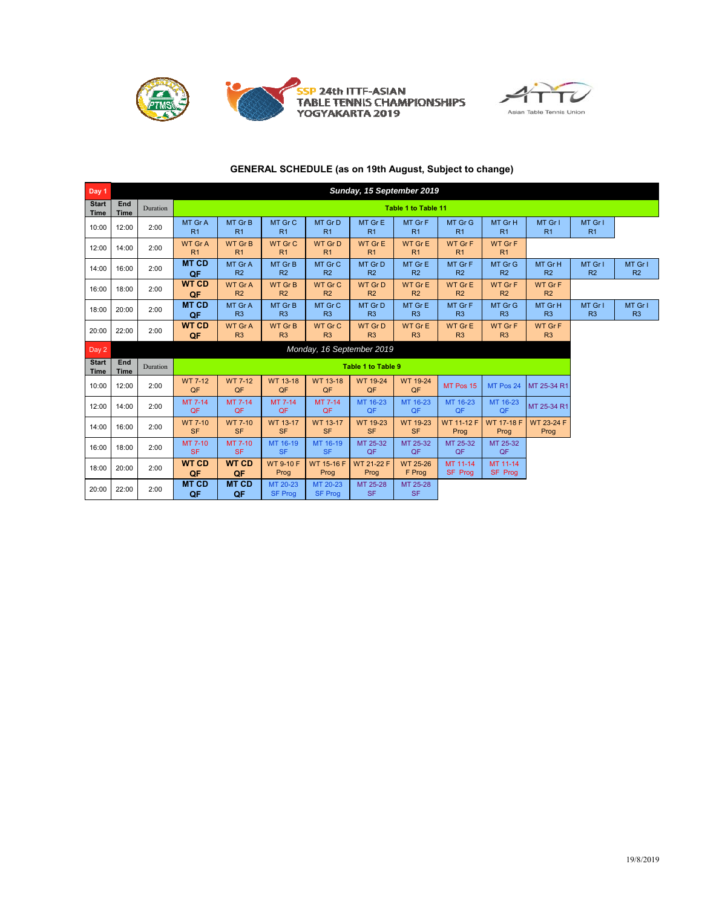

## **GENERAL SCHEDULE (as on 19th August, Subject to change)**

| Day 1                       |                    |          | Sunday, 15 September 2019        |                                  |                                  |                                  |                                 |                                 |                                  |                                  |                                  |                           |                           |
|-----------------------------|--------------------|----------|----------------------------------|----------------------------------|----------------------------------|----------------------------------|---------------------------------|---------------------------------|----------------------------------|----------------------------------|----------------------------------|---------------------------|---------------------------|
| <b>Start</b><br><b>Time</b> | End<br><b>Time</b> | Duration |                                  |                                  |                                  |                                  |                                 | Table 1 to Table 11             |                                  |                                  |                                  |                           |                           |
| 10:00                       | 12:00              | 2:00     | MT Gr A<br>R <sub>1</sub>        | MT Gr B<br>R1                    | MT Gr C<br>R <sub>1</sub>        | MT Gr D<br>R <sub>1</sub>        | MT Gr E<br>R <sub>1</sub>       | MT Gr F<br>R <sub>1</sub>       | MT Gr G<br>R <sub>1</sub>        | MT Gr H<br>R <sub>1</sub>        | MT Gr I<br>R <sub>1</sub>        | MT Gr I<br>R <sub>1</sub> |                           |
| 12:00                       | 14:00              | 2:00     | <b>WT Gr A</b><br>R <sub>1</sub> | <b>WT Gr B</b><br>R <sub>1</sub> | WT Gr C<br>R <sub>1</sub>        | <b>WT GrD</b><br>R <sub>1</sub>  | <b>WT GrE</b><br>R <sub>1</sub> | <b>WT GrE</b><br>R <sub>1</sub> | <b>WT Gr F</b><br>R <sub>1</sub> | WT Gr F<br>R <sub>1</sub>        |                                  |                           |                           |
| 14:00                       | 16:00              | 2:00     | <b>MT CD</b><br>QF               | MT Gr A<br>R <sub>2</sub>        | MT Gr B<br>R2                    | MT Gr C<br>R <sub>2</sub>        | MT Gr D<br>R <sub>2</sub>       | MT Gr E<br>R <sub>2</sub>       | MT Gr F<br>R2                    | MT Gr G<br>R <sub>2</sub>        | MT Gr H<br>R <sub>2</sub>        | MT Gr I<br>R2             | MT Gr I<br>R2             |
| 16:00                       | 18:00              | 2:00     | <b>WT CD</b><br>QF               | <b>WT Gr A</b><br>R <sub>2</sub> | <b>WT Gr B</b><br>R <sub>2</sub> | <b>WT Gr C</b><br>R <sub>2</sub> | WT Gr D<br>R2                   | <b>WT GrE</b><br>R2             | <b>WT Gr E</b><br>R <sub>2</sub> | WT Gr F<br>R <sub>2</sub>        | <b>WT Gr F</b><br>R <sub>2</sub> |                           |                           |
| 18:00                       | 20:00              | 2:00     | <b>MT CD</b><br>QF               | MT Gr A<br>R <sub>3</sub>        | MT Gr B<br>R <sub>3</sub>        | MT Gr C<br>R <sub>3</sub>        | MT Gr D<br>R <sub>3</sub>       | MT Gr E<br>R <sub>3</sub>       | MT Gr F<br>R <sub>3</sub>        | MT Gr G<br>R <sub>3</sub>        | MT Gr H<br>R <sub>3</sub>        | MT Gr I<br>R <sub>3</sub> | MT Gr I<br>R <sub>3</sub> |
| 20:00                       | 22:00              | 2:00     | <b>WT CD</b><br>QF               | <b>WT Gr A</b><br>R <sub>3</sub> | <b>WT GrB</b><br>R <sub>3</sub>  | <b>WT Gr C</b><br>R <sub>3</sub> | <b>WT GrD</b><br>R <sub>3</sub> | <b>WT GrE</b><br>R <sub>3</sub> | <b>WT GrE</b><br>R <sub>3</sub>  | <b>WT Gr F</b><br>R <sub>3</sub> | WT Gr F<br>R <sub>3</sub>        |                           |                           |
| Day 2                       |                    |          |                                  |                                  |                                  | Monday, 16 September 2019        |                                 |                                 |                                  |                                  |                                  |                           |                           |
| <b>Start</b><br><b>Time</b> | End<br><b>Time</b> | Duration |                                  |                                  |                                  |                                  | <b>Table 1 to Table 9</b>       |                                 |                                  |                                  |                                  |                           |                           |
| 10:00                       | 12:00              | 2:00     | WT 7-12<br>QF                    | <b>WT 7-12</b><br>QF             | WT 13-18<br>QF                   | WT 13-18<br>QF                   | WT 19-24<br>QF                  | WT 19-24<br>QF                  | MT Pos 15                        | MT Pos 24                        | MT 25-34 R1                      |                           |                           |
| 12:00                       | 14:00              | 2:00     | MT 7-14<br>QF                    | MT 7-14<br>QF                    | MT 7-14<br>QF                    | MT 7-14<br>QF                    | MT 16-23<br>QF                  | MT 16-23<br>QF                  | MT 16-23<br>QF                   | MT 16-23<br>QF                   | MT 25-34 R1                      |                           |                           |
| 14:00                       | 16:00              | 2:00     | <b>WT 7-10</b><br><b>SF</b>      | <b>WT 7-10</b><br><b>SF</b>      | WT 13-17<br><b>SF</b>            | WT 13-17<br><b>SF</b>            | WT 19-23<br><b>SF</b>           | WT 19-23<br><b>SF</b>           | <b>WT 11-12 F</b><br>Prog        | <b>WT 17-18 F</b><br>Prog        | WT 23-24 F<br>Prog               |                           |                           |
| 16:00                       | 18:00              | 2:00     | MT 7-10<br><b>SF</b>             | <b>MT 7-10</b><br><b>SF</b>      | MT 16-19<br><b>SF</b>            | MT 16-19<br><b>SF</b>            | MT 25-32<br>QF                  | MT 25-32<br>QF                  | MT 25-32<br>QF                   | MT 25-32<br>QF                   |                                  |                           |                           |
| 18:00                       | 20:00              | 2:00     | <b>WT CD</b><br>QF               | <b>WT CD</b><br>QF               | <b>WT 9-10 F</b><br>Prog         | <b>WT 15-16 F</b><br>Prog        | <b>WT 21-22 F</b><br>Prog       | WT 25-26<br>F Prog              | MT 11-14<br>SF Prog              | MT 11-14<br>SF Prog              |                                  |                           |                           |
| 20:00                       | 22:00              | 2:00     | <b>MT CD</b><br>QF               | <b>MT CD</b><br>QF               | MT 20-23<br><b>SF Prog</b>       | MT 20-23<br><b>SF Prog</b>       | MT 25-28<br><b>SF</b>           | MT 25-28<br><b>SF</b>           |                                  |                                  |                                  |                           |                           |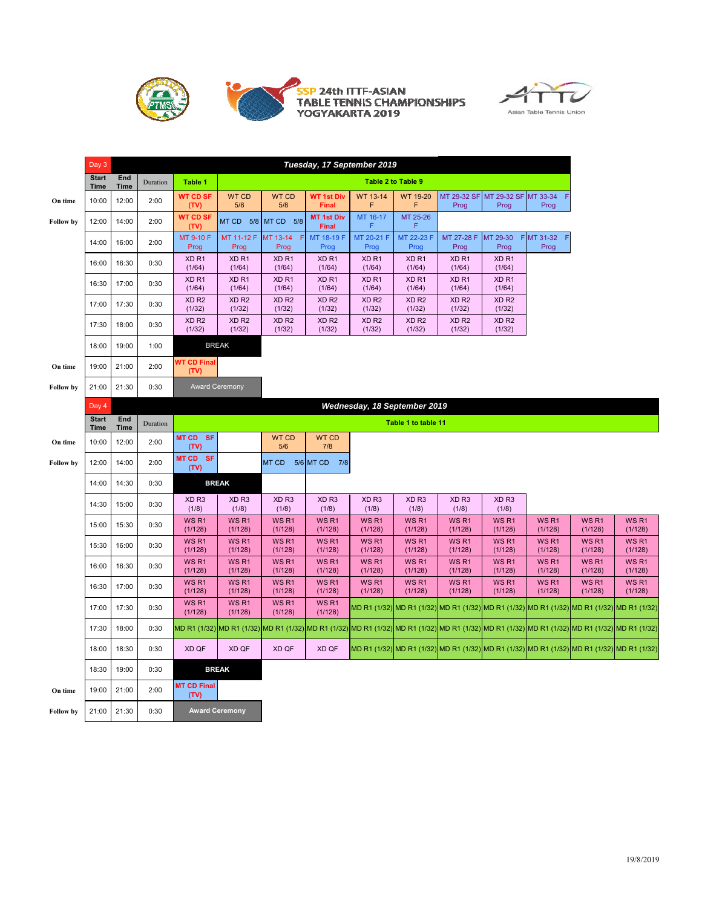



## SSP 24th ITTF-ASIAN<br>TABLE TENNIS CHAMPIONSHIPS<br>YOGYAKARTA 2019



|                  | Day 3                         |                    |          |                             |                             |                             |                                   | Tuesday, 17 September 2019   |                             |                                                                                                                                                                          |                                          |                             |                             |
|------------------|-------------------------------|--------------------|----------|-----------------------------|-----------------------------|-----------------------------|-----------------------------------|------------------------------|-----------------------------|--------------------------------------------------------------------------------------------------------------------------------------------------------------------------|------------------------------------------|-----------------------------|-----------------------------|
|                  | <b>Start</b><br><b>Time</b>   | End<br><b>Time</b> | Duration | Table 1                     | Table 2 to Table 9          |                             |                                   |                              |                             |                                                                                                                                                                          |                                          |                             |                             |
| On time          | 10:00                         | 12:00              | 2:00     | WT CD SF<br>(TV)            | <b>WT CD</b><br>5/8         | <b>WT CD</b><br>5/8         | <b>WT 1st Div</b><br><b>Final</b> | WT 13-14<br>F                | WT 19-20<br>F               | Prog                                                                                                                                                                     | MT 29-32 SF MT 29-32 SF MT 33-34<br>Prog | Prog                        |                             |
| <b>Follow</b> by | 12:00                         | 14:00              | 2:00     | <b>WT CD SF</b><br>(TV)     |                             | MT CD $5/8$ MT CD $5/8$     | <b>MT 1st Div</b><br><b>Final</b> | MT 16-17<br>F.               | MT 25-26<br>F               |                                                                                                                                                                          |                                          |                             |                             |
|                  | 14:00                         | 16:00              | 2:00     | MT 9-10 F<br>Prog           | MT 11-12 F<br>Prog          | MT 13-14<br>F.<br>Prog      | MT 18-19 F<br>Prog                | MT 20-21 F<br>Prog           | MT 22-23 F<br>Prog          | MT 27-28 F<br>Prog                                                                                                                                                       | MT 29-30<br>Prog                         | F MT 31-32 F<br>Prog        |                             |
|                  | 16:00                         | 16:30              | 0:30     | XD <sub>R1</sub><br>(1/64)  | XD <sub>R1</sub><br>(1/64)  | XD <sub>R1</sub><br>(1/64)  | XD <sub>R1</sub><br>(1/64)        | XD <sub>R1</sub><br>(1/64)   | XD <sub>R1</sub><br>(1/64)  | XD <sub>R1</sub><br>(1/64)                                                                                                                                               | XD <sub>R1</sub><br>(1/64)               |                             |                             |
|                  | 16:30                         | 17:00              | 0:30     | XD <sub>R1</sub><br>(1/64)  | XD <sub>R1</sub><br>(1/64)  | XD <sub>R1</sub><br>(1/64)  | XD <sub>R1</sub><br>(1/64)        | XD <sub>R1</sub><br>(1/64)   | XD <sub>R1</sub><br>(1/64)  | XD <sub>R1</sub><br>(1/64)                                                                                                                                               | XD <sub>R1</sub><br>(1/64)               |                             |                             |
|                  | 17:00                         | 17:30              | 0:30     | XD <sub>R2</sub><br>(1/32)  | XD <sub>R2</sub><br>(1/32)  | XD <sub>R2</sub><br>(1/32)  | XD <sub>R2</sub><br>(1/32)        | XD <sub>R2</sub><br>(1/32)   | XD <sub>R2</sub><br>(1/32)  | XD <sub>R2</sub><br>(1/32)                                                                                                                                               | XD <sub>R2</sub><br>(1/32)               |                             |                             |
|                  | 17:30                         | 18:00              | 0:30     | XD <sub>R2</sub><br>(1/32)  | XD <sub>R2</sub><br>(1/32)  | XD <sub>R2</sub><br>(1/32)  | XD <sub>R2</sub><br>(1/32)        | XD <sub>R2</sub><br>(1/32)   | XD <sub>R2</sub><br>(1/32)  | XD <sub>R2</sub><br>(1/32)                                                                                                                                               | XD <sub>R2</sub><br>(1/32)               |                             |                             |
|                  | 18:00                         | 19:00              | 1:00     |                             | <b>BREAK</b>                |                             |                                   |                              |                             |                                                                                                                                                                          |                                          |                             |                             |
| On time          | 19:00                         | 21:00              | 2:00     | <b>WT CD Final</b><br>(TV)  |                             |                             |                                   |                              |                             |                                                                                                                                                                          |                                          |                             |                             |
| <b>Follow</b> by | 21:00                         | 21:30              | 0:30     |                             | <b>Award Ceremony</b>       |                             |                                   |                              |                             |                                                                                                                                                                          |                                          |                             |                             |
|                  | Day 4<br><b>Start</b><br>Time | End<br><b>Time</b> | Duration |                             |                             |                             |                                   | Wednesday, 18 September 2019 | Table 1 to table 11         |                                                                                                                                                                          |                                          |                             |                             |
| On time          | 10:00                         | 12:00              | 2:00     | <b>MT CD</b><br><b>SF</b>   |                             | <b>WT CD</b>                | <b>WTCD</b>                       |                              |                             |                                                                                                                                                                          |                                          |                             |                             |
| <b>Follow</b> by | 12:00                         | 14:00              | 2:00     | (TV)<br>MT CD SF<br>(TV)    |                             | 5/6                         | 7/8<br>MT CD 5/6 MT CD 7/8        |                              |                             |                                                                                                                                                                          |                                          |                             |                             |
|                  | 14:00                         | 14:30              | 0:30     |                             | <b>BREAK</b>                |                             |                                   |                              |                             |                                                                                                                                                                          |                                          |                             |                             |
|                  | 14:30                         | 15:00              | 0:30     | XD <sub>R3</sub><br>(1/8)   | XD <sub>R3</sub><br>(1/8)   | XD <sub>R3</sub><br>(1/8)   | XD <sub>R3</sub><br>(1/8)         | XD <sub>R3</sub><br>(1/8)    | XD <sub>R3</sub><br>(1/8)   | XD <sub>R3</sub><br>(1/8)                                                                                                                                                | XD <sub>R3</sub><br>(1/8)                |                             |                             |
|                  | 15:00                         | 15:30              | 0:30     | WS <sub>R1</sub><br>(1/128) | WS <sub>R1</sub><br>(1/128) | WS <sub>R1</sub><br>(1/128) | WS <sub>R1</sub><br>(1/128)       | WS <sub>R1</sub><br>(1/128)  | WS <sub>R1</sub><br>(1/128) | WS <sub>R1</sub><br>(1/128)                                                                                                                                              | WS <sub>R1</sub><br>(1/128)              | WS <sub>R1</sub><br>(1/128) | WS <sub>R1</sub><br>(1/128) |
|                  | 15:30                         | 16:00              | 0:30     | WS <sub>R1</sub><br>(1/128) | WS <sub>R1</sub><br>(1/128) | WS <sub>R1</sub><br>(1/128) | WS <sub>R1</sub><br>(1/128)       | WS <sub>R1</sub><br>(1/128)  | WS <sub>R1</sub><br>(1/128) | WS <sub>R1</sub><br>(1/128)                                                                                                                                              | WS <sub>R1</sub><br>(1/128)              | WS <sub>R1</sub><br>(1/128) | WS <sub>R1</sub><br>(1/128) |
|                  | 16:00                         | 16:30              | 0:30     | WS <sub>R1</sub><br>(1/128) | WS <sub>R1</sub><br>(1/128) | WS <sub>R1</sub><br>(1/128) | WS <sub>R1</sub><br>(1/128)       | WS <sub>R1</sub><br>(1/128)  | WS <sub>R1</sub><br>(1/128) | WS <sub>R1</sub><br>(1/128)                                                                                                                                              | WS <sub>R1</sub><br>(1/128)              | WS <sub>R1</sub><br>(1/128) | WS <sub>R1</sub><br>(1/128) |
|                  | 16:30                         | 17:00              | 0:30     | WS <sub>R1</sub><br>(1/128) | WS <sub>R1</sub><br>(1/128) | WS <sub>R1</sub><br>(1/128) | WS <sub>R1</sub><br>(1/128)       | WS <sub>R1</sub><br>(1/128)  | WS <sub>R1</sub><br>(1/128) | WS <sub>R1</sub><br>(1/128)                                                                                                                                              | WS <sub>R1</sub><br>(1/128)              | WS <sub>R1</sub><br>(1/128) | WS <sub>R1</sub><br>(1/128) |
|                  | 17:00                         | 17:30              | 0:30     | WS <sub>R1</sub><br>(1/128) | WS <sub>R1</sub><br>(1/128) | WS <sub>R1</sub><br>(1/128) | WS <sub>R1</sub><br>(1/128)       |                              |                             | MD R1 (1/32) MD R1 (1/32) MD R1 (1/32) MD R1 (1/32) MD R1 (1/32) MD R1 (1/32) MD R1 (1/32)                                                                               |                                          |                             |                             |
|                  | 17:30                         | 18:00              | 0:30     |                             |                             |                             |                                   |                              |                             | MD R1 (1/32) MD R1 (1/32) MD R1 (1/32) MD R1 (1/32) MD R1 (1/32) MD R1 (1/32) MD R1 (1/32) MD R1 (1/32) MD R1 (1/32) MD R1 (1/32) MD R1 (1/32) MD R1 (1/32) MD R1 (1/32) |                                          |                             |                             |
|                  | 18:00                         | 18:30              | 0:30     | <b>XD QF</b>                | XD QF                       | XD QF                       | XD QF                             |                              |                             | MD R1 (1/32) MD R1 (1/32) MD R1 (1/32) MD R1 (1/32) MD R1 (1/32) MD R1 (1/32) MD R1 (1/32)                                                                               |                                          |                             |                             |
|                  |                               | 19:00              | 0:30     |                             | <b>BREAK</b>                |                             |                                   |                              |                             |                                                                                                                                                                          |                                          |                             |                             |
|                  | 18:30                         |                    |          |                             |                             |                             |                                   |                              |                             |                                                                                                                                                                          |                                          |                             |                             |
| On time          | 19:00                         | 21:00              | 2:00     | <b>MT CD Final</b><br>(TV)  |                             |                             |                                   |                              |                             |                                                                                                                                                                          |                                          |                             |                             |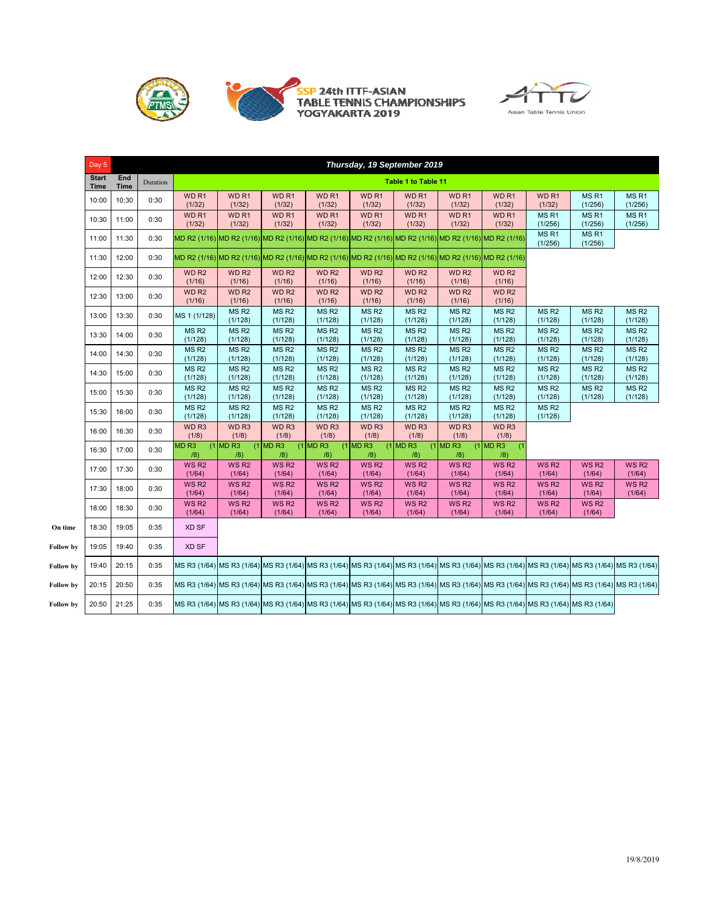



SSP 24th ITTF-ASIAN<br>TABLE TENNIS CHAMPIONSHIPS<br>YOGYAKARTA 2019



|                  | Day 5                       |                    |          |                             | Thursday, 19 September 2019 |                             |                                                                                                               |                             |                             |                             |                                                                                                                                                |                             |                             |                                                                                                                                                             |
|------------------|-----------------------------|--------------------|----------|-----------------------------|-----------------------------|-----------------------------|---------------------------------------------------------------------------------------------------------------|-----------------------------|-----------------------------|-----------------------------|------------------------------------------------------------------------------------------------------------------------------------------------|-----------------------------|-----------------------------|-------------------------------------------------------------------------------------------------------------------------------------------------------------|
|                  | <b>Start</b><br><b>Time</b> | End<br><b>Time</b> | Duration |                             |                             |                             |                                                                                                               |                             | Table 1 to Table 11         |                             |                                                                                                                                                |                             |                             |                                                                                                                                                             |
|                  | 10:00                       | 10:30              | 0:30     | WD <sub>R1</sub><br>(1/32)  | WD <sub>R1</sub><br>(1/32)  | WD <sub>R1</sub><br>(1/32)  | WD <sub>R1</sub><br>(1/32)                                                                                    | WD <sub>R1</sub><br>(1/32)  | WD <sub>R1</sub><br>(1/32)  | WD <sub>R1</sub><br>(1/32)  | WD <sub>R1</sub><br>(1/32)                                                                                                                     | WD <sub>R1</sub><br>(1/32)  | MS <sub>R1</sub><br>(1/256) | MS <sub>R1</sub><br>(1/256)                                                                                                                                 |
|                  | 10:30                       | 11:00              | 0:30     | WD <sub>R1</sub><br>(1/32)  | WD <sub>R1</sub><br>(1/32)  | WD <sub>R1</sub><br>(1/32)  | WD <sub>R1</sub><br>(1/32)                                                                                    | WD <sub>R1</sub><br>(1/32)  | WD <sub>R1</sub><br>(1/32)  | WD <sub>R1</sub><br>(1/32)  | WD <sub>R1</sub><br>(1/32)                                                                                                                     | MS <sub>R1</sub><br>(1/256) | MS <sub>R1</sub><br>(1/256) | MS <sub>R1</sub><br>(1/256)                                                                                                                                 |
|                  | 11:00                       | 11:30              | 0:30     |                             |                             |                             | MD R2 (1/16) MD R2 (1/16) MD R2 (1/16) MD R2 (1/16) MD R2 (1/16) MD R2 (1/16) MD R2 (1/16) MD R2 (1/16)       |                             |                             |                             |                                                                                                                                                | MS <sub>R1</sub><br>(1/256) | MS <sub>R1</sub><br>(1/256) |                                                                                                                                                             |
|                  | 11:30                       | 12:00              | 0:30     |                             |                             |                             | MD R2 (1/16) MD R2 (1/16) MD R2 (1/16) MD R2 (1/16) MD R2 (1/16) MD R2 (1/16) MD R2 (1/16) MD R2 (1/16) MD R2 |                             |                             |                             |                                                                                                                                                |                             |                             |                                                                                                                                                             |
|                  | 12:00                       | 12:30              | 0:30     | WD <sub>R2</sub><br>(1/16)  | WD <sub>R2</sub><br>(1/16)  | WD <sub>R2</sub><br>(1/16)  | WD <sub>R2</sub><br>(1/16)                                                                                    | WD <sub>R2</sub><br>(1/16)  | WD <sub>R2</sub><br>(1/16)  | WD <sub>R2</sub><br>(1/16)  | WD <sub>R2</sub><br>(1/16)                                                                                                                     |                             |                             |                                                                                                                                                             |
|                  | 12:30                       | 13:00              | 0:30     | WD <sub>R2</sub><br>(1/16)  | WD <sub>R2</sub><br>(1/16)  | WD <sub>R2</sub><br>(1/16)  | WD <sub>R2</sub><br>(1/16)                                                                                    | WD <sub>R2</sub><br>(1/16)  | WD <sub>R2</sub><br>(1/16)  | WD <sub>R2</sub><br>(1/16)  | WD <sub>R2</sub><br>(1/16)                                                                                                                     |                             |                             |                                                                                                                                                             |
|                  | 13:00                       | 13:30              | 0:30     | MS 1 (1/128)                | MS <sub>R2</sub><br>(1/128) | MS <sub>R2</sub><br>(1/128) | MS <sub>R2</sub><br>(1/128)                                                                                   | MS <sub>R2</sub><br>(1/128) | MS <sub>R2</sub><br>(1/128) | MS <sub>R2</sub><br>(1/128) | MS <sub>R2</sub><br>(1/128)                                                                                                                    | MS <sub>R2</sub><br>(1/128) | MS <sub>R2</sub><br>(1/128) | MS <sub>R2</sub><br>(1/128)                                                                                                                                 |
|                  | 13:30                       | 14:00              | 0:30     | MS <sub>R2</sub><br>(1/128) | MS <sub>R2</sub><br>(1/128) | MS <sub>R2</sub><br>(1/128) | MS <sub>R2</sub><br>(1/128)                                                                                   | MS <sub>R2</sub><br>(1/128) | MS <sub>R2</sub><br>(1/128) | MS <sub>R2</sub><br>(1/128) | MS <sub>R2</sub><br>(1/128)                                                                                                                    | MS <sub>R2</sub><br>(1/128) | MS <sub>R2</sub><br>(1/128) | MS <sub>R2</sub><br>(1/128)                                                                                                                                 |
|                  | 14:00                       | 14:30              | 0:30     | MS <sub>R2</sub><br>(1/128) | MS <sub>R2</sub><br>(1/128) | MS <sub>R2</sub><br>(1/128) | MS <sub>R2</sub><br>(1/128)                                                                                   | MS <sub>R2</sub><br>(1/128) | MS <sub>R2</sub><br>(1/128) | MS <sub>R2</sub><br>(1/128) | MS <sub>R2</sub><br>(1/128)                                                                                                                    | MS <sub>R2</sub><br>(1/128) | MS <sub>R2</sub><br>(1/128) | MS <sub>R2</sub><br>(1/128)                                                                                                                                 |
|                  | 14:30                       | 15:00              | 0:30     | MS <sub>R2</sub><br>(1/128) | MS <sub>R2</sub><br>(1/128) | MS <sub>R2</sub><br>(1/128) | MS <sub>R2</sub><br>(1/128)                                                                                   | MS <sub>R2</sub><br>(1/128) | MS <sub>R2</sub><br>(1/128) | MS <sub>R2</sub><br>(1/128) | MS <sub>R2</sub><br>(1/128)                                                                                                                    | MS <sub>R2</sub><br>(1/128) | MS <sub>R2</sub><br>(1/128) | MS <sub>R2</sub><br>(1/128)                                                                                                                                 |
|                  | 15:00                       | 15:30              | 0:30     | MS <sub>R2</sub><br>(1/128) | MS <sub>R2</sub><br>(1/128) | MS <sub>R2</sub><br>(1/128) | MS <sub>R2</sub><br>(1/128)                                                                                   | MS <sub>R2</sub><br>(1/128) | MS <sub>R2</sub><br>(1/128) | MS <sub>R2</sub><br>(1/128) | MS <sub>R2</sub><br>(1/128)                                                                                                                    | MS <sub>R2</sub><br>(1/128) | MS <sub>R2</sub><br>(1/128) | MS <sub>R2</sub><br>(1/128)                                                                                                                                 |
|                  | 15:30                       | 16:00              | 0:30     | MS <sub>R2</sub><br>(1/128) | MS <sub>R2</sub><br>(1/128) | MS <sub>R2</sub><br>(1/128) | MS <sub>R2</sub><br>(1/128)                                                                                   | MS <sub>R2</sub><br>(1/128) | MS <sub>R2</sub><br>(1/128) | MS <sub>R2</sub><br>(1/128) | MS <sub>R2</sub><br>(1/128)                                                                                                                    | MS <sub>R2</sub><br>(1/128) |                             |                                                                                                                                                             |
|                  | 16:00                       | 16:30              | 0:30     | WD <sub>R3</sub><br>(1/8)   | WD <sub>R3</sub><br>(1/8)   | WD <sub>R3</sub><br>(1/8)   | WD <sub>R3</sub><br>(1/8)                                                                                     | WD <sub>R3</sub><br>(1/8)   | WD <sub>R3</sub><br>(1/8)   | WD <sub>R3</sub><br>(1/8)   | WD <sub>R3</sub><br>(1/8)                                                                                                                      |                             |                             |                                                                                                                                                             |
|                  | 16:30                       | 17:00              | 0:30     | MD <sub>R3</sub><br>(8)     | $(1$ MD R3<br>(8)           | $(1$ MD R3<br>/8)           | $(1$ MD R3<br>(8)                                                                                             | $(1$ MD R3<br>/8)           | $(1$ MD R3<br>/8)           | $(1$ MD R3<br>/8)           | $(1$ MD R3<br>(1)<br>(8)                                                                                                                       |                             |                             |                                                                                                                                                             |
|                  | 17:00                       | 17:30              | 0:30     | WS <sub>R2</sub><br>(1/64)  | <b>WS R2</b><br>(1/64)      | WS <sub>R2</sub><br>(1/64)  | WS <sub>R2</sub><br>(1/64)                                                                                    | WS <sub>R2</sub><br>(1/64)  | WS <sub>R2</sub><br>(1/64)  | WS <sub>R2</sub><br>(1/64)  | WS <sub>R2</sub><br>(1/64)                                                                                                                     | WS <sub>R2</sub><br>(1/64)  | WS <sub>R2</sub><br>(1/64)  | WS <sub>R2</sub><br>(1/64)                                                                                                                                  |
|                  | 17:30                       | 18:00              | 0:30     | WS <sub>R2</sub><br>(1/64)  | WS <sub>R2</sub><br>(1/64)  | WS <sub>R2</sub><br>(1/64)  | WS <sub>R2</sub><br>(1/64)                                                                                    | WS <sub>R2</sub><br>(1/64)  | WS <sub>R2</sub><br>(1/64)  | WS <sub>R2</sub><br>(1/64)  | WS <sub>R2</sub><br>(1/64)                                                                                                                     | WS <sub>R2</sub><br>(1/64)  | WS <sub>R2</sub><br>(1/64)  | WS <sub>R2</sub><br>(1/64)                                                                                                                                  |
|                  | 18:00                       | 18:30              | 0:30     | WS <sub>R2</sub><br>(1/64)  | WS <sub>R2</sub><br>(1/64)  | WS <sub>R2</sub><br>(1/64)  | WS <sub>R2</sub><br>(1/64)                                                                                    | WS <sub>R2</sub><br>(1/64)  | WS <sub>R2</sub><br>(1/64)  | WS <sub>R2</sub><br>(1/64)  | WS <sub>R2</sub><br>(1/64)                                                                                                                     | WS <sub>R2</sub><br>(1/64)  | WS <sub>R2</sub><br>(1/64)  |                                                                                                                                                             |
| On time          | 18:30                       | 19:05              | 0:35     | XD SF                       |                             |                             |                                                                                                               |                             |                             |                             |                                                                                                                                                |                             |                             |                                                                                                                                                             |
| <b>Follow</b> by | 19:05                       | 19:40              | 0:35     | <b>XD SF</b>                |                             |                             |                                                                                                               |                             |                             |                             |                                                                                                                                                |                             |                             |                                                                                                                                                             |
| <b>Follow by</b> | 19:40                       | 20:15              | 0:35     |                             |                             |                             |                                                                                                               |                             |                             |                             |                                                                                                                                                |                             |                             | MS R3 (1/64) MS R3 (1/64) MS R3 (1/64) MS R3 (1/64) MS R3 (1/64) MS R3 (1/64) MS R3 (1/64) MS R3 (1/64) MS R3 (1/64) MS R3 (1/64) MS R3 (1/64) MS R3 (1/64) |
| <b>Follow</b> by | 20:15                       | 20:50              | 0:35     |                             |                             |                             |                                                                                                               |                             |                             |                             |                                                                                                                                                |                             |                             | MS R3 (1/64) MS R3 (1/64) MS R3 (1/64) MS R3 (1/64) MS R3 (1/64) MS R3 (1/64) MS R3 (1/64) MS R3 (1/64) MS R3 (1/64) MS R3 (1/64) MS R3 (1/64) MS R3 (1/64) |
| <b>Follow</b> by | 20:50                       | 21:25              | 0:35     |                             |                             |                             |                                                                                                               |                             |                             |                             | MS R3 (1/64) MS R3 (1/64) MS R3 (1/64) MS R3 (1/64) MS R3 (1/64) MS R3 (1/64) MS R3 (1/64) MS R3 (1/64) MS R3 (1/64) MS R3 (1/64) MS R3 (1/64) |                             |                             |                                                                                                                                                             |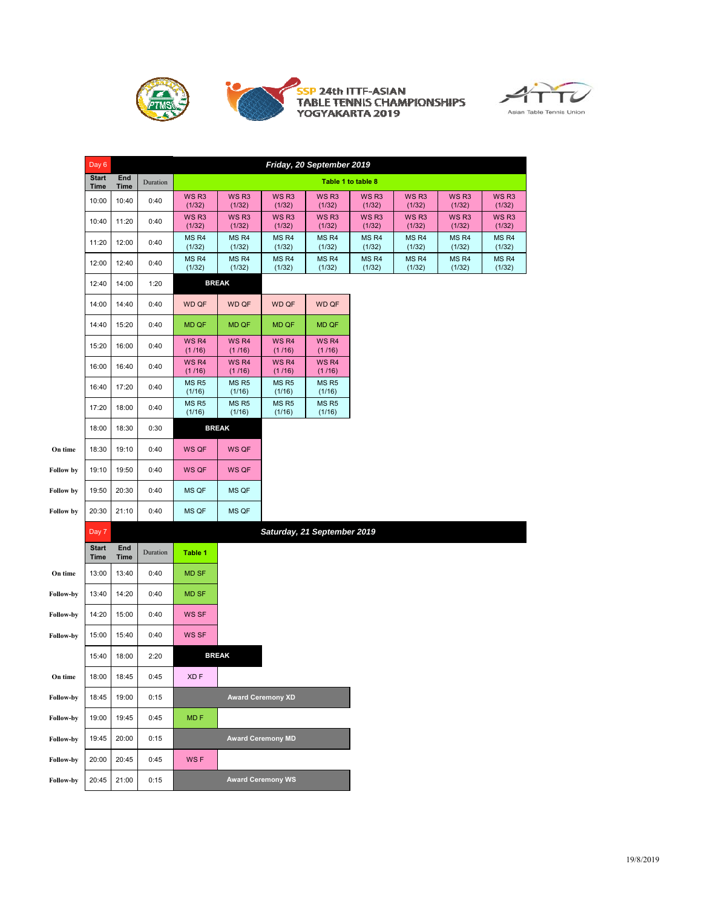



SSP 24th ITTF-ASIAN<br>TABLE TENNIS CHAMPIONSHIPS<br>YOGYAKARTA 2019



|                  | Day 6                |             |          | Friday, 20 September 2019  |                             |                             |                             |                            |                            |                            |                            |  |  |
|------------------|----------------------|-------------|----------|----------------------------|-----------------------------|-----------------------------|-----------------------------|----------------------------|----------------------------|----------------------------|----------------------------|--|--|
|                  | <b>Start</b><br>Time | End<br>Time | Duration |                            |                             |                             |                             | Table 1 to table 8         |                            |                            |                            |  |  |
|                  | 10:00                | 10:40       | 0:40     | WS <sub>R3</sub><br>(1/32) | WS R <sub>3</sub><br>(1/32) | WS <sub>R3</sub><br>(1/32)  | WS R <sub>3</sub><br>(1/32) | WS <sub>R3</sub><br>(1/32) | WS <sub>R3</sub><br>(1/32) | WS <sub>R3</sub><br>(1/32) | WS <sub>R3</sub><br>(1/32) |  |  |
|                  | 10:40                | 11:20       | 0:40     | WS <sub>R3</sub><br>(1/32) | WS <sub>R3</sub><br>(1/32)  | WS R <sub>3</sub><br>(1/32) | WS R <sub>3</sub><br>(1/32) | WS <sub>R3</sub><br>(1/32) | WS <sub>R3</sub><br>(1/32) | WS <sub>R3</sub><br>(1/32) | WS <sub>R3</sub><br>(1/32) |  |  |
|                  | 11:20                | 12:00       | 0:40     | MS <sub>R4</sub><br>(1/32) | MS <sub>R4</sub><br>(1/32)  | MS <sub>R4</sub><br>(1/32)  | MS <sub>R4</sub><br>(1/32)  | MS <sub>R4</sub><br>(1/32) | MS <sub>R4</sub><br>(1/32) | MS <sub>R4</sub><br>(1/32) | MS <sub>R4</sub><br>(1/32) |  |  |
|                  | 12:00                | 12:40       | 0:40     | MS <sub>R4</sub><br>(1/32) | MS <sub>R4</sub><br>(1/32)  | MS <sub>R4</sub><br>(1/32)  | MS <sub>R4</sub><br>(1/32)  | MS <sub>R4</sub><br>(1/32) | MS <sub>R4</sub><br>(1/32) | MS <sub>R4</sub><br>(1/32) | MS <sub>R4</sub><br>(1/32) |  |  |
|                  | 12:40                | 14:00       | 1:20     |                            | <b>BREAK</b>                |                             |                             |                            |                            |                            |                            |  |  |
|                  | 14:00                | 14:40       | 0:40     | <b>WD QF</b>               | <b>WD QF</b>                | <b>WD QF</b>                | <b>WD QF</b>                |                            |                            |                            |                            |  |  |
|                  | 14:40                | 15:20       | 0:40     | <b>MD QF</b>               | <b>MD QF</b>                | MD QF                       | MD QF                       |                            |                            |                            |                            |  |  |
|                  | 15:20                | 16:00       | 0:40     | WS <sub>R4</sub><br>(1/16) | WS R4<br>(1/16)             | WS <sub>R4</sub><br>(1/16)  | WS <sub>R4</sub><br>(1/16)  |                            |                            |                            |                            |  |  |
|                  | 16:00                | 16:40       | 0:40     | WS <sub>R4</sub><br>(1/16) | WS <sub>R4</sub><br>(1/16)  | WS <sub>R4</sub><br>(1/16)  | WS <sub>R4</sub><br>(1/16)  |                            |                            |                            |                            |  |  |
|                  | 16:40                | 17:20       | 0:40     | MS <sub>R5</sub><br>(1/16) | MS <sub>R5</sub><br>(1/16)  | MS <sub>R5</sub><br>(1/16)  | MS <sub>R5</sub><br>(1/16)  |                            |                            |                            |                            |  |  |
|                  | 17:20                | 18:00       | 0:40     | MS <sub>R5</sub><br>(1/16) | MS <sub>R5</sub><br>(1/16)  | MS <sub>R5</sub><br>(1/16)  | MS <sub>R5</sub><br>(1/16)  |                            |                            |                            |                            |  |  |
|                  | 18:00                | 18:30       | 0:30     |                            | <b>BREAK</b>                |                             |                             |                            |                            |                            |                            |  |  |
| On time          | 18:30                | 19:10       | 0:40     | WS QF                      | <b>WS QF</b>                |                             |                             |                            |                            |                            |                            |  |  |
| Follow by        | 19:10                | 19:50       | 0:40     | WS QF                      | WS QF                       |                             |                             |                            |                            |                            |                            |  |  |
| <b>Follow</b> by | 19:50                | 20:30       | 0:40     | MS QF                      | MS QF                       |                             |                             |                            |                            |                            |                            |  |  |
| Follow by        | 20:30                | 21:10       | 0:40     | MS QF                      | MS QF                       |                             |                             |                            |                            |                            |                            |  |  |
|                  | Day 7                |             |          |                            |                             |                             | Saturday, 21 September 2019 |                            |                            |                            |                            |  |  |
|                  | <b>Start</b><br>Time | End<br>Time | Duration | Table 1                    |                             |                             |                             |                            |                            |                            |                            |  |  |
| On time          | 13:00                | 13:40       | 0:40     | <b>MD SF</b>               |                             |                             |                             |                            |                            |                            |                            |  |  |
| Follow-by        | 13:40                | 14:20       | 0:40     | <b>MD SF</b>               |                             |                             |                             |                            |                            |                            |                            |  |  |
| Follow-by        | 14:20                | 15:00       | 0:40     | <b>WS SF</b>               |                             |                             |                             |                            |                            |                            |                            |  |  |
| Follow-by        | 15:00                | 15:40       | 0:40     | <b>WS SF</b>               |                             |                             |                             |                            |                            |                            |                            |  |  |
|                  | 15:40                | 18:00       | 2:20     |                            | <b>BREAK</b>                |                             |                             |                            |                            |                            |                            |  |  |
| On time          | 18:00                | 18:45       | 0:45     | XD F                       |                             |                             |                             |                            |                            |                            |                            |  |  |
| Follow-by        | 18:45                | 19:00       | 0:15     |                            |                             | <b>Award Ceremony XD</b>    |                             |                            |                            |                            |                            |  |  |
| Follow-by        | 19:00                | 19:45       | 0:45     | MD <sub>F</sub>            |                             |                             |                             |                            |                            |                            |                            |  |  |
| Follow-by        | 19:45                | 20:00       | 0:15     |                            |                             | <b>Award Ceremony MD</b>    |                             |                            |                            |                            |                            |  |  |
| Follow-by        | 20:00                | 20:45       | 0:45     | WS F                       |                             |                             |                             |                            |                            |                            |                            |  |  |
| Follow-by        | 20:45                | 21:00       | 0:15     |                            |                             | <b>Award Ceremony WS</b>    |                             |                            |                            |                            |                            |  |  |
|                  |                      |             |          |                            |                             |                             |                             |                            |                            |                            |                            |  |  |